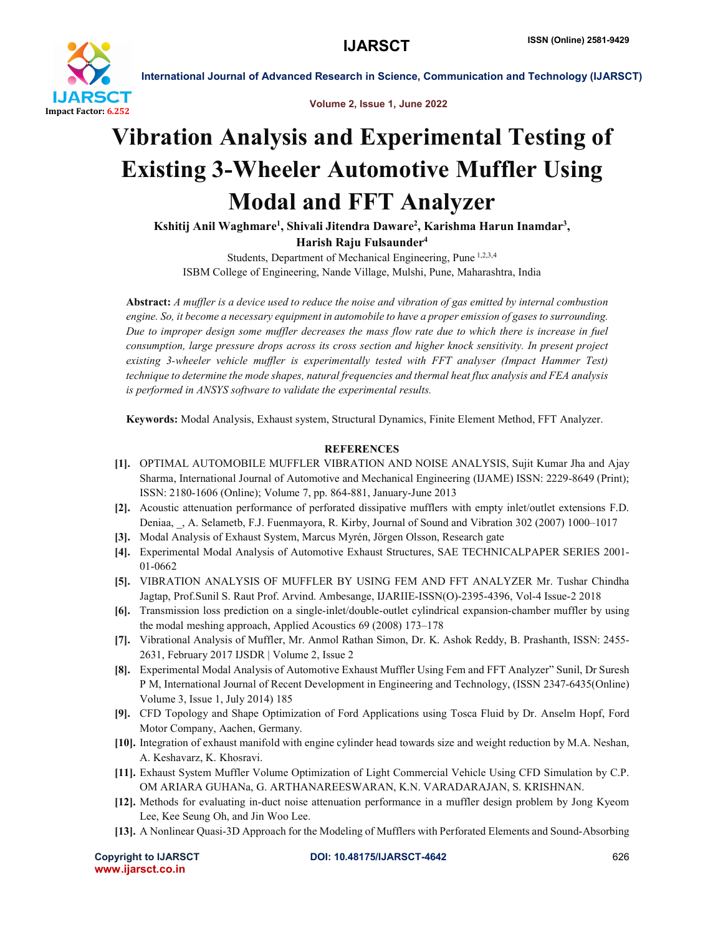

International Journal of Advanced Research in Science, Communication and Technology (IJARSCT)

Volume 2, Issue 1, June 2022

## Vibration Analysis and Experimental Testing of Existing 3-Wheeler Automotive Muffler Using Modal and FFT Analyzer

Kshitij Anil Waghmare<sup>1</sup>, Shivali Jitendra Daware<sup>2</sup>, Karishma Harun Inamdar<sup>3</sup>,

Harish Raju Fulsaunder4

Students, Department of Mechanical Engineering, Pune 1,2,3,4 ISBM College of Engineering, Nande Village, Mulshi, Pune, Maharashtra, India

Abstract: *A muffler is a device used to reduce the noise and vibration of gas emitted by internal combustion engine. So, it become a necessary equipment in automobile to have a proper emission of gases to surrounding. Due to improper design some muffler decreases the mass flow rate due to which there is increase in fuel consumption, large pressure drops across its cross section and higher knock sensitivity. In present project existing 3-wheeler vehicle muffler is experimentally tested with FFT analyser (Impact Hammer Test) technique to determine the mode shapes, natural frequencies and thermal heat flux analysis and FEA analysis is performed in ANSYS software to validate the experimental results.*

Keywords: Modal Analysis, Exhaust system, Structural Dynamics, Finite Element Method, FFT Analyzer.

## **REFERENCES**

- [1]. OPTIMAL AUTOMOBILE MUFFLER VIBRATION AND NOISE ANALYSIS, Sujit Kumar Jha and Ajay Sharma, International Journal of Automotive and Mechanical Engineering (IJAME) ISSN: 2229-8649 (Print); ISSN: 2180-1606 (Online); Volume 7, pp. 864-881, January-June 2013
- [2]. Acoustic attenuation performance of perforated dissipative mufflers with empty inlet/outlet extensions F.D. Deniaa, \_, A. Selametb, F.J. Fuenmayora, R. Kirby, Journal of Sound and Vibration 302 (2007) 1000–1017
- [3]. Modal Analysis of Exhaust System, Marcus Myrén, Jörgen Olsson, Research gate
- [4]. Experimental Modal Analysis of Automotive Exhaust Structures, SAE TECHNICALPAPER SERIES 2001- 01-0662
- [5]. VIBRATION ANALYSIS OF MUFFLER BY USING FEM AND FFT ANALYZER Mr. Tushar Chindha Jagtap, Prof.Sunil S. Raut Prof. Arvind. Ambesange, IJARIIE-ISSN(O)-2395-4396, Vol-4 Issue-2 2018
- [6]. Transmission loss prediction on a single-inlet/double-outlet cylindrical expansion-chamber muffler by using the modal meshing approach, Applied Acoustics 69 (2008) 173–178
- [7]. Vibrational Analysis of Muffler, Mr. Anmol Rathan Simon, Dr. K. Ashok Reddy, B. Prashanth, ISSN: 2455- 2631, February 2017 IJSDR | Volume 2, Issue 2
- [8]. Experimental Modal Analysis of Automotive Exhaust Muffler Using Fem and FFT Analyzer" Sunil, Dr Suresh P M, International Journal of Recent Development in Engineering and Technology, (ISSN 2347-6435(Online) Volume 3, Issue 1, July 2014) 185
- [9]. CFD Topology and Shape Optimization of Ford Applications using Tosca Fluid by Dr. Anselm Hopf, Ford Motor Company, Aachen, Germany.
- [10]. Integration of exhaust manifold with engine cylinder head towards size and weight reduction by M.A. Neshan, A. Keshavarz, K. Khosravi.
- [11]. Exhaust System Muffler Volume Optimization of Light Commercial Vehicle Using CFD Simulation by C.P. OM ARIARA GUHANa, G. ARTHANAREESWARAN, K.N. VARADARAJAN, S. KRISHNAN.
- [12]. Methods for evaluating in-duct noise attenuation performance in a muffler design problem by Jong Kyeom Lee, Kee Seung Oh, and Jin Woo Lee.
- [13]. A Nonlinear Quasi-3D Approach for the Modeling of Mufflers with Perforated Elements and Sound-Absorbing